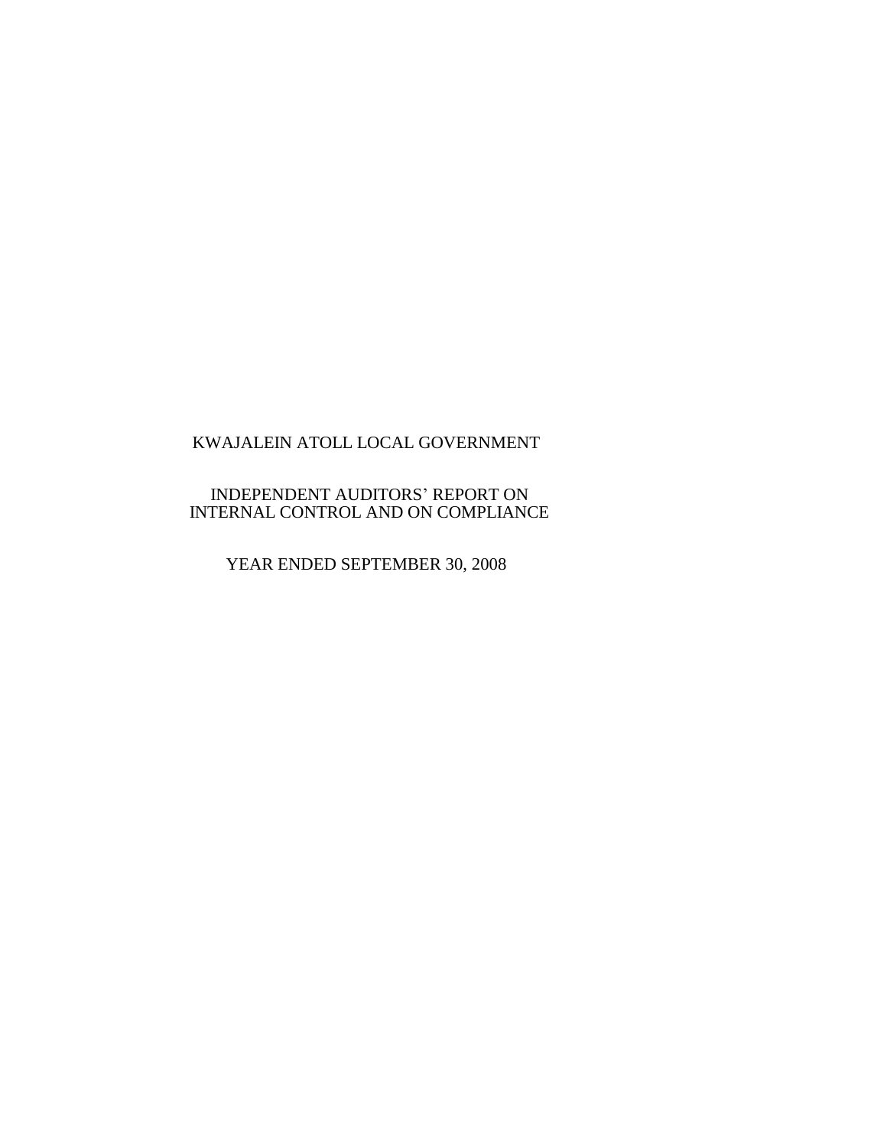## INDEPENDENT AUDITORS' REPORT ON INTERNAL CONTROL AND ON COMPLIANCE

YEAR ENDED SEPTEMBER 30, 2008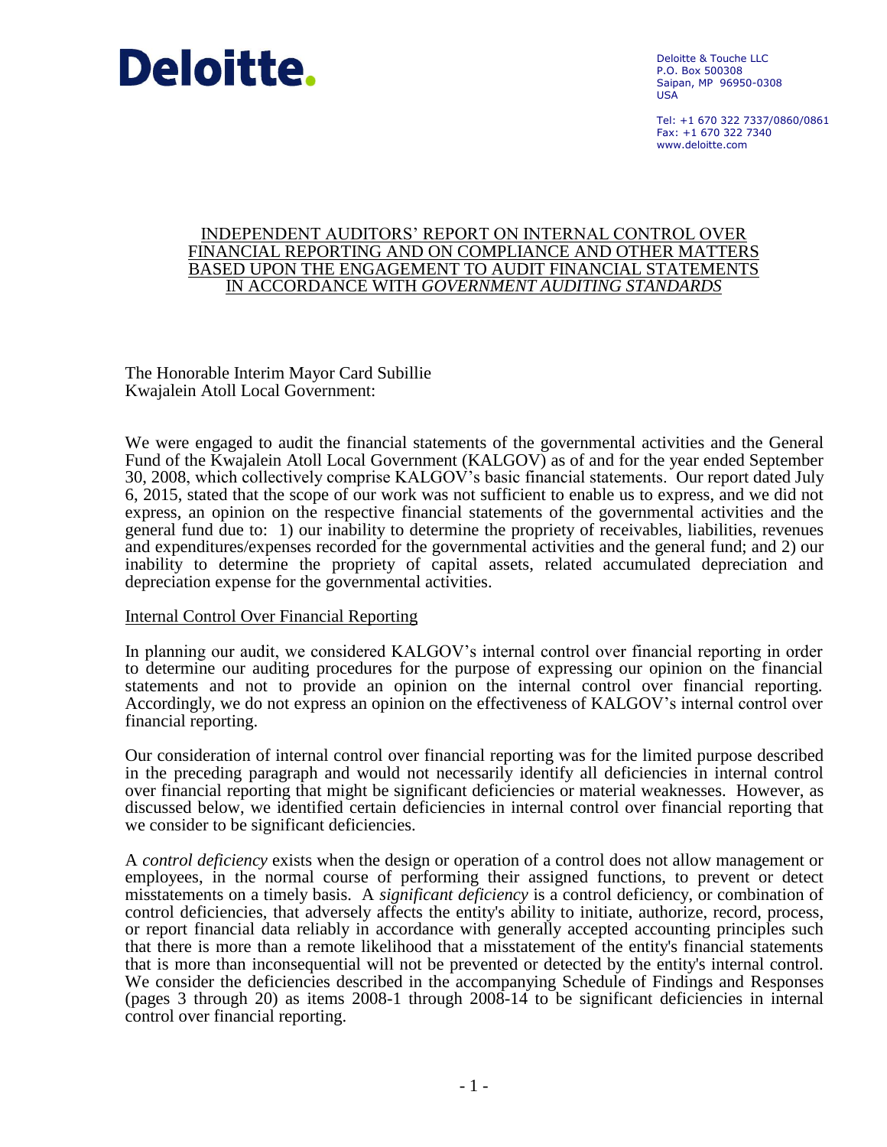

Deloitte & Touche LLC P.O. Box 500308 Saipan, MP 96950-0308 USA

Tel: +1 670 322 7337/0860/0861  $Fay: +1 670 322 7340$ www.deloitte.com

#### INDEPENDENT AUDITORS' REPORT ON INTERNAL CONTROL OVER FINANCIAL REPORTING AND ON COMPLIANCE AND OTHER MATTERS BASED UPON THE ENGAGEMENT TO AUDIT FINANCIAL STATEMENTS IN ACCORDANCE WITH *GOVERNMENT AUDITING STANDARDS*

The Honorable Interim Mayor Card Subillie Kwajalein Atoll Local Government:

We were engaged to audit the financial statements of the governmental activities and the General Fund of the Kwajalein Atoll Local Government (KALGOV) as of and for the year ended September 30, 2008, which collectively comprise KALGOV's basic financial statements. Our report dated July 6, 2015, stated that the scope of our work was not sufficient to enable us to express, and we did not express, an opinion on the respective financial statements of the governmental activities and the general fund due to: 1) our inability to determine the propriety of receivables, liabilities, revenues and expenditures/expenses recorded for the governmental activities and the general fund; and 2) our inability to determine the propriety of capital assets, related accumulated depreciation and depreciation expense for the governmental activities.

### Internal Control Over Financial Reporting

In planning our audit, we considered KALGOV's internal control over financial reporting in order to determine our auditing procedures for the purpose of expressing our opinion on the financial statements and not to provide an opinion on the internal control over financial reporting. Accordingly, we do not express an opinion on the effectiveness of KALGOV's internal control over financial reporting.

Our consideration of internal control over financial reporting was for the limited purpose described in the preceding paragraph and would not necessarily identify all deficiencies in internal control over financial reporting that might be significant deficiencies or material weaknesses. However, as discussed below, we identified certain deficiencies in internal control over financial reporting that we consider to be significant deficiencies.

A *control deficiency* exists when the design or operation of a control does not allow management or employees, in the normal course of performing their assigned functions, to prevent or detect misstatements on a timely basis. A *significant deficiency* is a control deficiency, or combination of control deficiencies, that adversely affects the entity's ability to initiate, authorize, record, process, or report financial data reliably in accordance with generally accepted accounting principles such that there is more than a remote likelihood that a misstatement of the entity's financial statements that is more than inconsequential will not be prevented or detected by the entity's internal control. We consider the deficiencies described in the accompanying Schedule of Findings and Responses (pages 3 through 20) as items 2008-1 through 2008-14 to be significant deficiencies in internal control over financial reporting.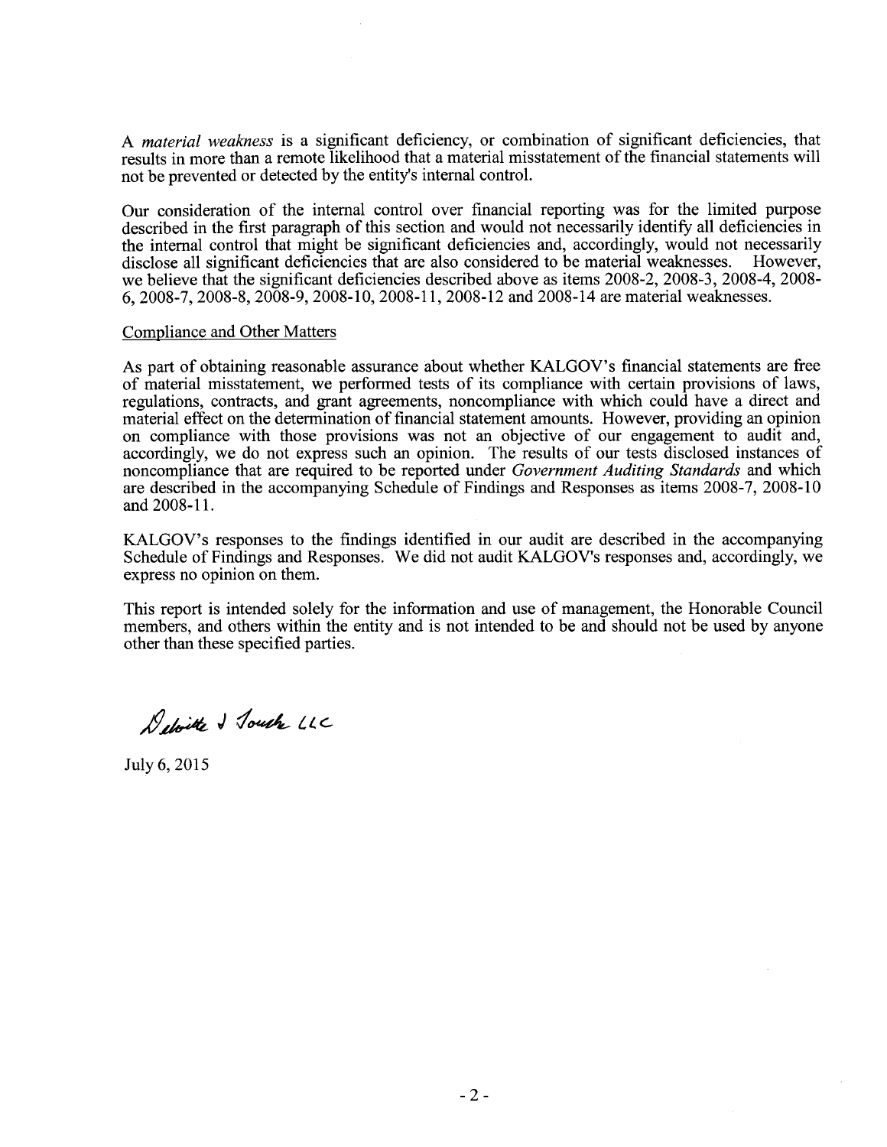A *material weakness* is a significant deficiency, or combination of significant deficiencies, that results in more than a remote likelihood that a material misstatement of the financial statements will not be prevented or detected by the entity's internal control.

Our consideration of the internal control over financial reporting was for the limited purpose described in the first paragraph of this section and would not necessarily identify all deficiencies in the internal control that might be significant deficiencies and, accordingly, would not necessarily disclose all significant deficiencies that are also considered to be material weaknesses. However, disclose all significant deficiencies that are also considered to be material weaknesses. we believe that the significant deficiencies described above as items 2008-2, 2008-3, 2008-4, 2008- 6, 2008-7, 2008-8, 2008-9, 2008-10, 2008-11, 2008-12 and 2008-14 are material weaknesses.

#### Compliance and Other Matters

As part of obtaining reasonable assurance about whether KALGOV's financial statements are free of material misstatement, we performed tests of its compliance with certain provisions of laws, regulations, contracts, and grant agreements, noncompliance with which could have a direct and material effect on the determination of financial statement amounts. However, providing an opinion on compliance with those provisions was not an objective of our engagement to audit and, accordingly, we do not express such an opinion. The results of our tests disclosed instances of noncompliance that are required to be reported under *Government Auditing Standards* and which are described in the accompanying Schedule of Findings and Responses as items 2008-7, 2008-10 and 2008-11.

KALGOV's responses to the findings identified in our audit are described in the accompanying Schedule of Findings and Responses. We did not audit KALGOV's responses and, accordingly, we express no opinion on them.

This report is intended solely for the information and use of management, the Honorable Council members, and others within the entity and is not intended to be and should not be used by anyone other than these specified parties.

Deloitte & Touch LLC

July 6, 2015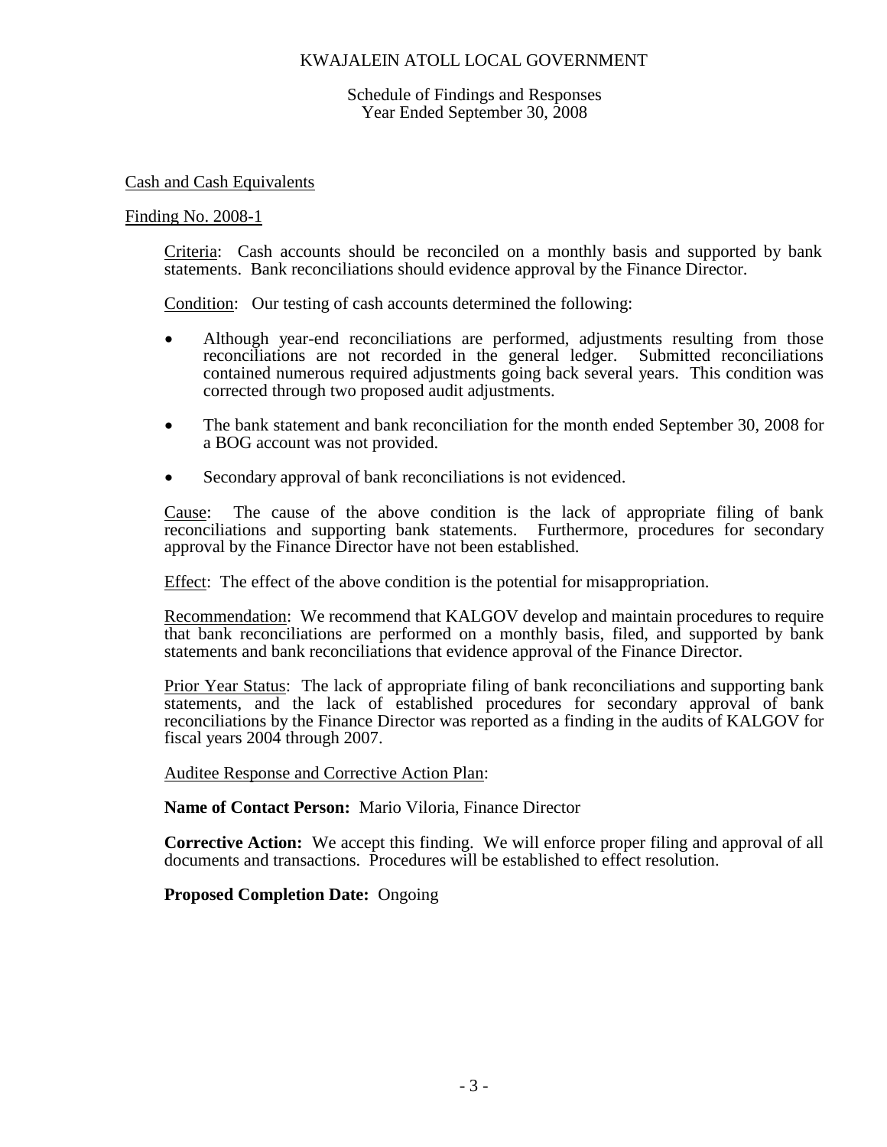Schedule of Findings and Responses Year Ended September 30, 2008

Cash and Cash Equivalents

#### Finding No. 2008-1

Criteria: Cash accounts should be reconciled on a monthly basis and supported by bank statements. Bank reconciliations should evidence approval by the Finance Director.

Condition: Our testing of cash accounts determined the following:

- Although year-end reconciliations are performed, adjustments resulting from those reconciliations are not recorded in the general ledger. Submitted reconciliations contained numerous required adjustments going back several years. This condition was corrected through two proposed audit adjustments.
- The bank statement and bank reconciliation for the month ended September 30, 2008 for a BOG account was not provided.
- Secondary approval of bank reconciliations is not evidenced.

Cause: The cause of the above condition is the lack of appropriate filing of bank reconciliations and supporting bank statements. Furthermore, procedures for secondary approval by the Finance Director have not been established.

Effect: The effect of the above condition is the potential for misappropriation.

Recommendation: We recommend that KALGOV develop and maintain procedures to require that bank reconciliations are performed on a monthly basis, filed, and supported by bank statements and bank reconciliations that evidence approval of the Finance Director.

Prior Year Status: The lack of appropriate filing of bank reconciliations and supporting bank statements, and the lack of established procedures for secondary approval of bank reconciliations by the Finance Director was reported as a finding in the audits of KALGOV for fiscal years 2004 through 2007.

Auditee Response and Corrective Action Plan:

**Name of Contact Person:** Mario Viloria, Finance Director

**Corrective Action:** We accept this finding. We will enforce proper filing and approval of all documents and transactions. Procedures will be established to effect resolution.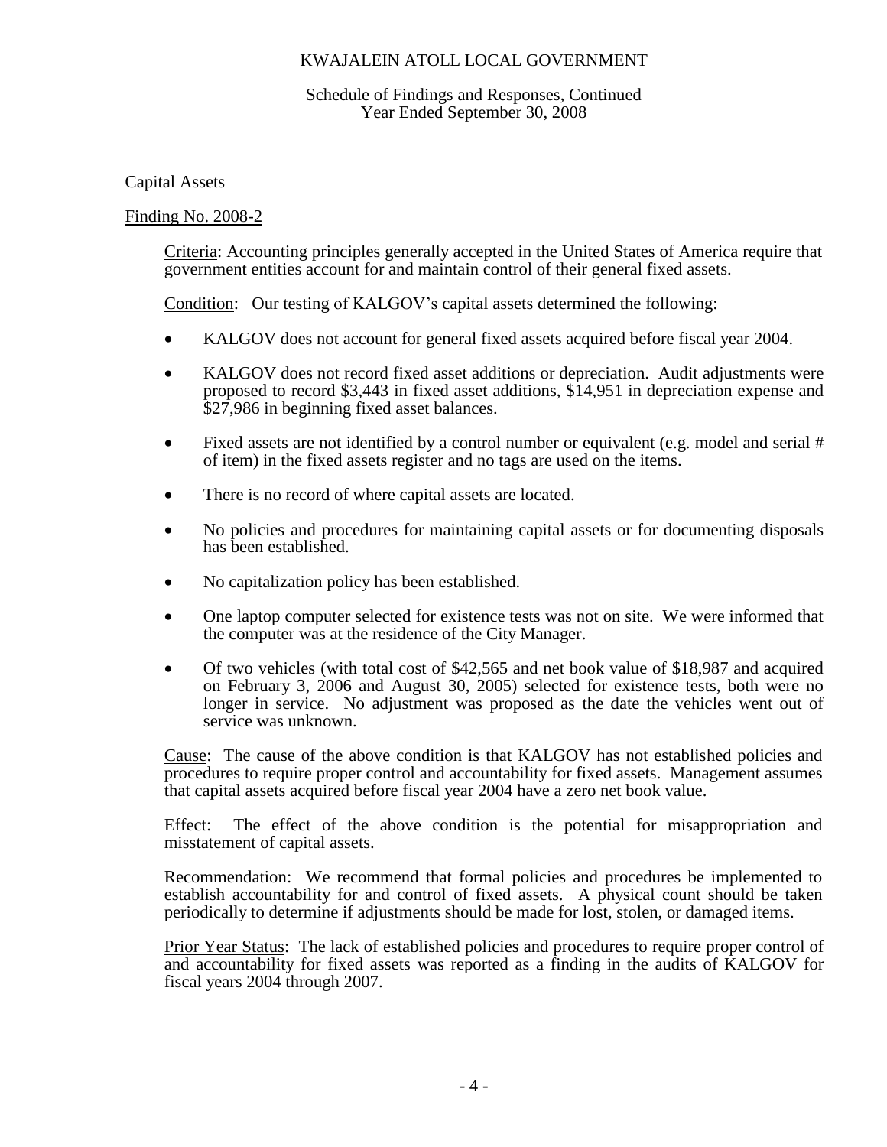## Schedule of Findings and Responses, Continued Year Ended September 30, 2008

## Capital Assets

## Finding No. 2008-2

Criteria: Accounting principles generally accepted in the United States of America require that government entities account for and maintain control of their general fixed assets.

Condition: Our testing of KALGOV's capital assets determined the following:

- KALGOV does not account for general fixed assets acquired before fiscal year 2004.
- KALGOV does not record fixed asset additions or depreciation. Audit adjustments were proposed to record \$3,443 in fixed asset additions, \$14,951 in depreciation expense and \$27,986 in beginning fixed asset balances.
- Fixed assets are not identified by a control number or equivalent (e.g. model and serial # of item) in the fixed assets register and no tags are used on the items.
- There is no record of where capital assets are located.
- No policies and procedures for maintaining capital assets or for documenting disposals has been established.
- No capitalization policy has been established.
- One laptop computer selected for existence tests was not on site. We were informed that the computer was at the residence of the City Manager.
- Of two vehicles (with total cost of \$42,565 and net book value of \$18,987 and acquired on February 3, 2006 and August 30, 2005) selected for existence tests, both were no longer in service. No adjustment was proposed as the date the vehicles went out of service was unknown.

Cause: The cause of the above condition is that KALGOV has not established policies and procedures to require proper control and accountability for fixed assets. Management assumes that capital assets acquired before fiscal year 2004 have a zero net book value.

Effect: The effect of the above condition is the potential for misappropriation and misstatement of capital assets.

Recommendation: We recommend that formal policies and procedures be implemented to establish accountability for and control of fixed assets. A physical count should be taken periodically to determine if adjustments should be made for lost, stolen, or damaged items.

Prior Year Status: The lack of established policies and procedures to require proper control of and accountability for fixed assets was reported as a finding in the audits of KALGOV for fiscal years 2004 through 2007.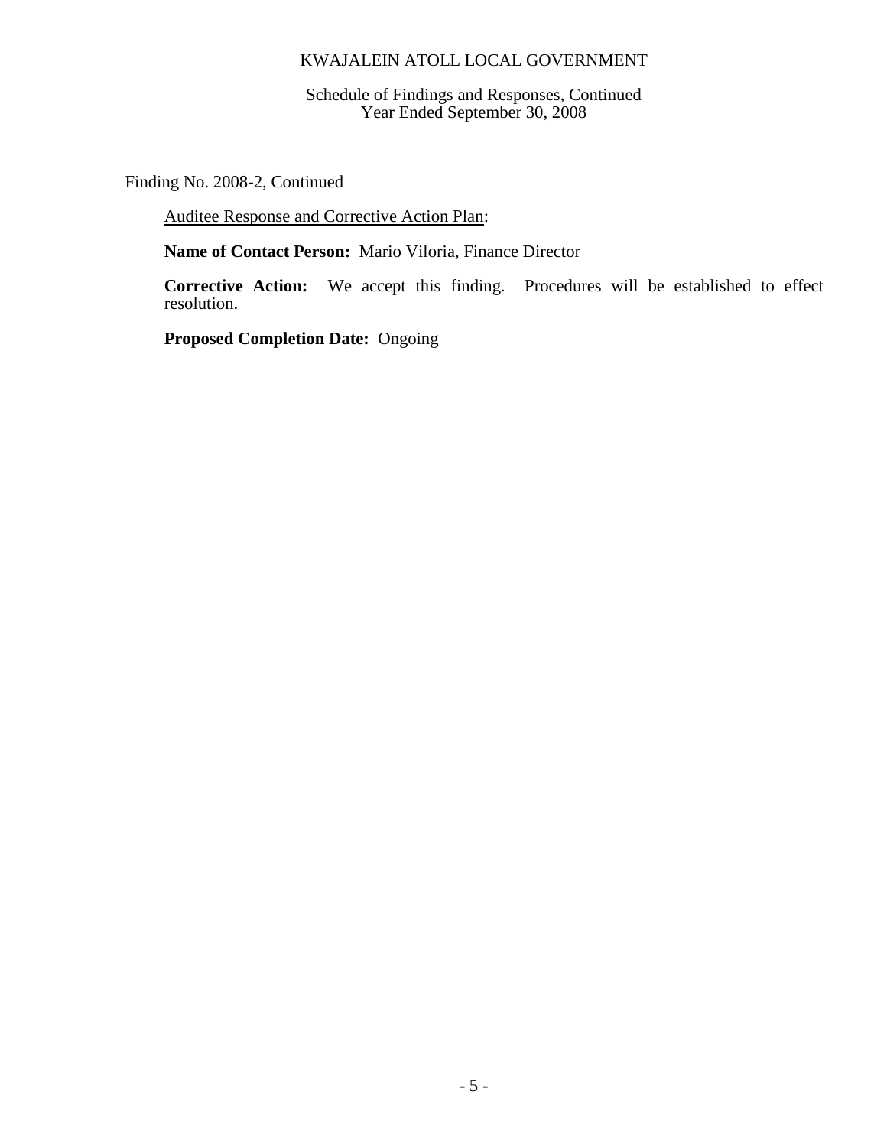Schedule of Findings and Responses, Continued Year Ended September 30, 2008

Finding No. 2008-2, Continued

Auditee Response and Corrective Action Plan:

**Name of Contact Person:** Mario Viloria, Finance Director

**Corrective Action:** We accept this finding. Procedures will be established to effect resolution.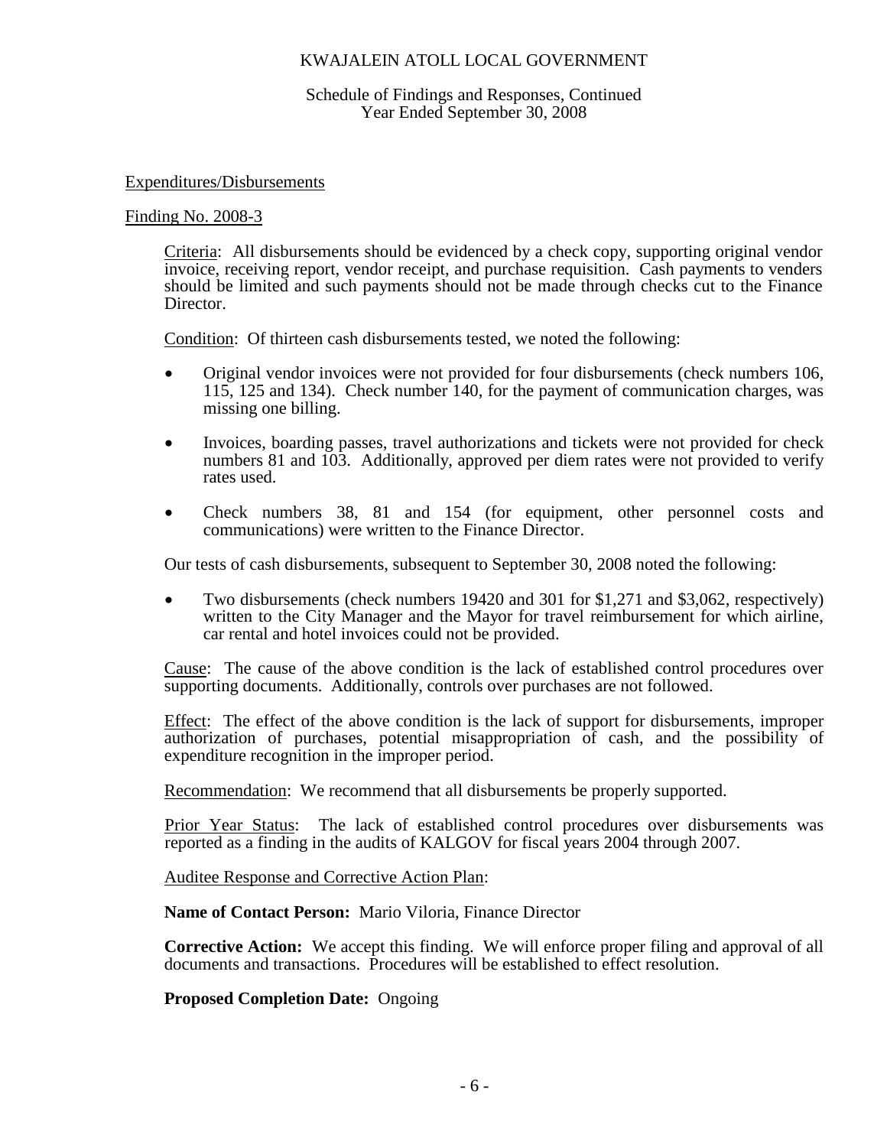### Schedule of Findings and Responses, Continued Year Ended September 30, 2008

#### Expenditures/Disbursements

#### Finding No. 2008-3

Criteria: All disbursements should be evidenced by a check copy, supporting original vendor invoice, receiving report, vendor receipt, and purchase requisition. Cash payments to venders should be limited and such payments should not be made through checks cut to the Finance Director.

Condition: Of thirteen cash disbursements tested, we noted the following:

- Original vendor invoices were not provided for four disbursements (check numbers 106, 115, 125 and 134). Check number 140, for the payment of communication charges, was missing one billing.
- Invoices, boarding passes, travel authorizations and tickets were not provided for check numbers 81 and 103. Additionally, approved per diem rates were not provided to verify rates used.
- Check numbers 38, 81 and 154 (for equipment, other personnel costs and communications) were written to the Finance Director.

Our tests of cash disbursements, subsequent to September 30, 2008 noted the following:

 Two disbursements (check numbers 19420 and 301 for \$1,271 and \$3,062, respectively) written to the City Manager and the Mayor for travel reimbursement for which airline, car rental and hotel invoices could not be provided.

Cause: The cause of the above condition is the lack of established control procedures over supporting documents. Additionally, controls over purchases are not followed.

Effect: The effect of the above condition is the lack of support for disbursements, improper authorization of purchases, potential misappropriation of cash, and the possibility of expenditure recognition in the improper period.

Recommendation: We recommend that all disbursements be properly supported.

Prior Year Status: The lack of established control procedures over disbursements was reported as a finding in the audits of KALGOV for fiscal years 2004 through 2007.

Auditee Response and Corrective Action Plan:

**Name of Contact Person:** Mario Viloria, Finance Director

**Corrective Action:** We accept this finding. We will enforce proper filing and approval of all documents and transactions. Procedures will be established to effect resolution.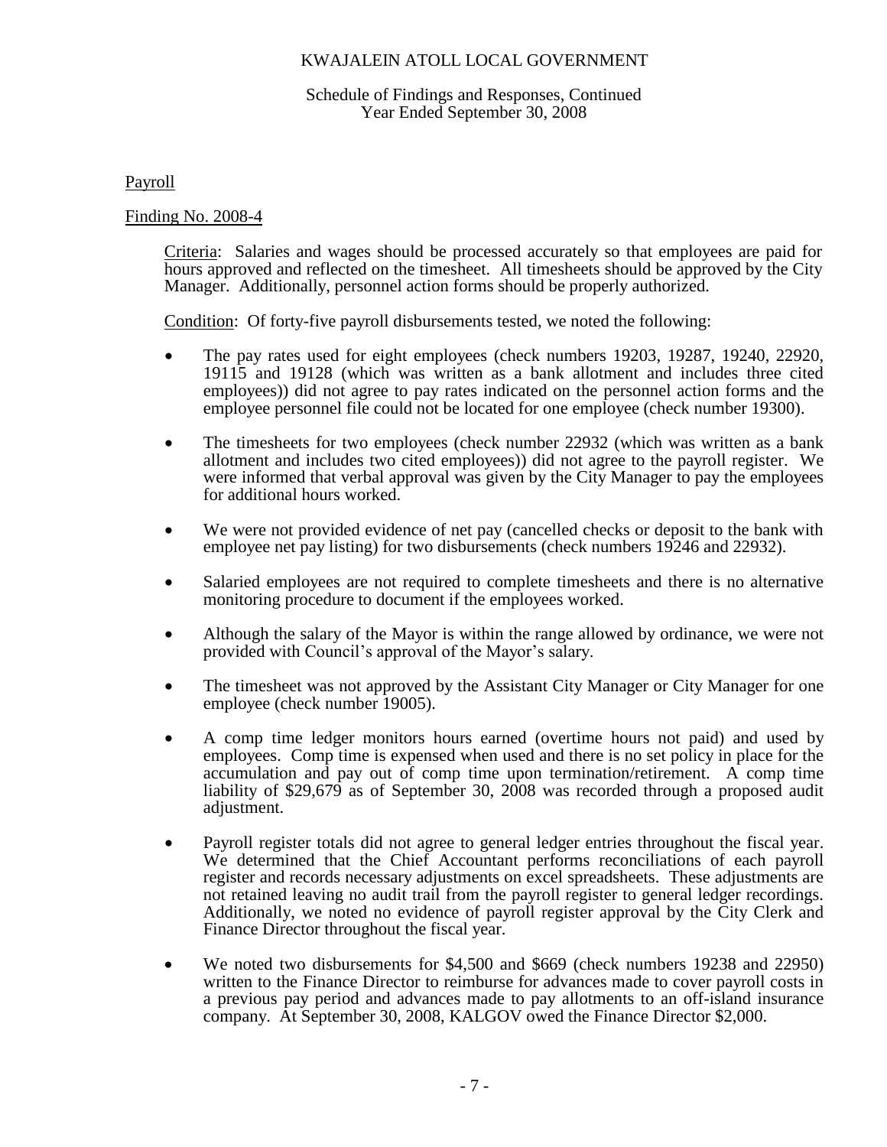### Schedule of Findings and Responses, Continued Year Ended September 30, 2008

Payroll

Finding No. 2008-4

Criteria: Salaries and wages should be processed accurately so that employees are paid for hours approved and reflected on the timesheet. All timesheets should be approved by the City Manager. Additionally, personnel action forms should be properly authorized.

Condition: Of forty-five payroll disbursements tested, we noted the following:

- The pay rates used for eight employees (check numbers 19203, 19287, 19240, 22920, 19115 and 19128 (which was written as a bank allotment and includes three cited employees)) did not agree to pay rates indicated on the personnel action forms and the employee personnel file could not be located for one employee (check number 19300).
- The timesheets for two employees (check number 22932 (which was written as a bank allotment and includes two cited employees)) did not agree to the payroll register. We were informed that verbal approval was given by the City Manager to pay the employees for additional hours worked.
- We were not provided evidence of net pay (cancelled checks or deposit to the bank with employee net pay listing) for two disbursements (check numbers 19246 and 22932).
- Salaried employees are not required to complete timesheets and there is no alternative monitoring procedure to document if the employees worked.
- Although the salary of the Mayor is within the range allowed by ordinance, we were not provided with Council's approval of the Mayor's salary.
- The timesheet was not approved by the Assistant City Manager or City Manager for one employee (check number 19005).
- A comp time ledger monitors hours earned (overtime hours not paid) and used by employees. Comp time is expensed when used and there is no set policy in place for the accumulation and pay out of comp time upon termination/retirement. A comp time liability of \$29,679 as of September 30, 2008 was recorded through a proposed audit adjustment.
- Payroll register totals did not agree to general ledger entries throughout the fiscal year. We determined that the Chief Accountant performs reconciliations of each payroll register and records necessary adjustments on excel spreadsheets. These adjustments are not retained leaving no audit trail from the payroll register to general ledger recordings. Additionally, we noted no evidence of payroll register approval by the City Clerk and Finance Director throughout the fiscal year.
- We noted two disbursements for \$4,500 and \$669 (check numbers 19238 and 22950) written to the Finance Director to reimburse for advances made to cover payroll costs in a previous pay period and advances made to pay allotments to an off-island insurance company. At September 30, 2008, KALGOV owed the Finance Director \$2,000.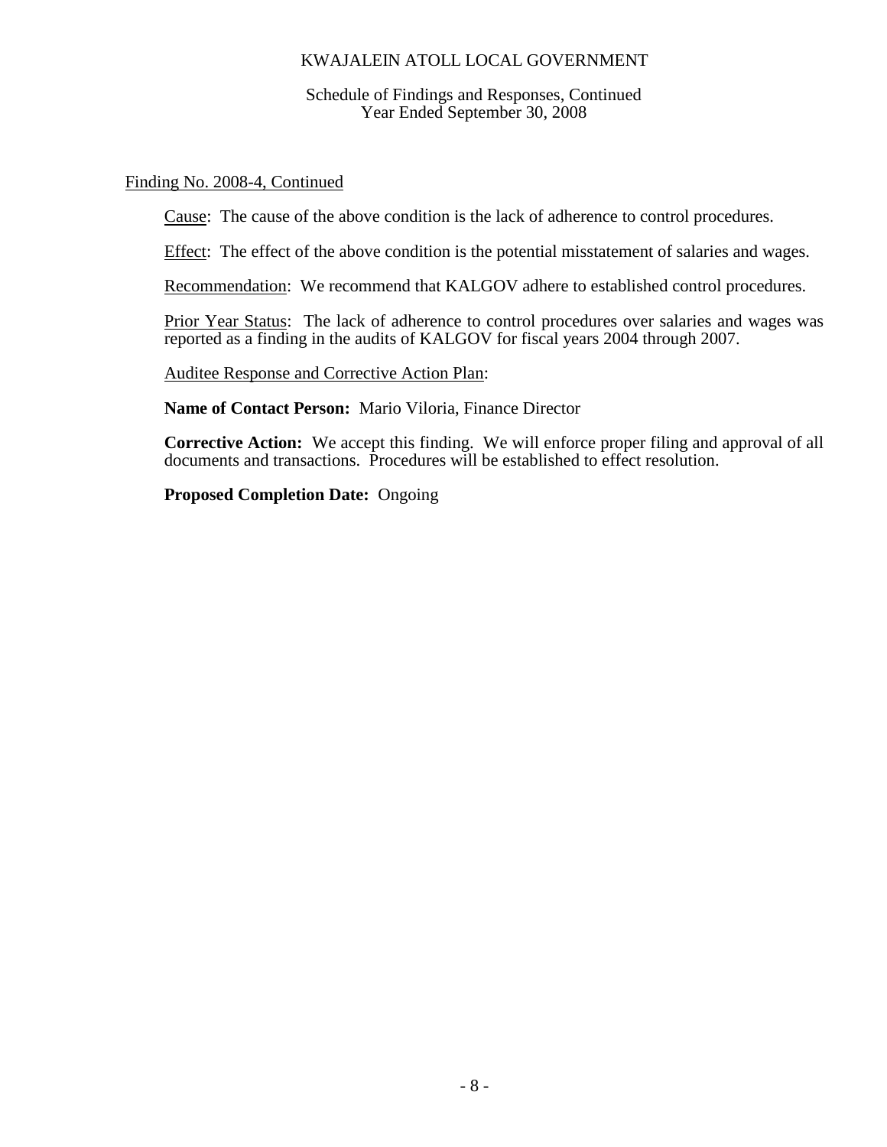Schedule of Findings and Responses, Continued Year Ended September 30, 2008

## Finding No. 2008-4, Continued

Cause: The cause of the above condition is the lack of adherence to control procedures.

Effect: The effect of the above condition is the potential misstatement of salaries and wages.

Recommendation: We recommend that KALGOV adhere to established control procedures.

Prior Year Status: The lack of adherence to control procedures over salaries and wages was reported as a finding in the audits of KALGOV for fiscal years 2004 through 2007.

Auditee Response and Corrective Action Plan:

**Name of Contact Person:** Mario Viloria, Finance Director

**Corrective Action:** We accept this finding. We will enforce proper filing and approval of all documents and transactions. Procedures will be established to effect resolution.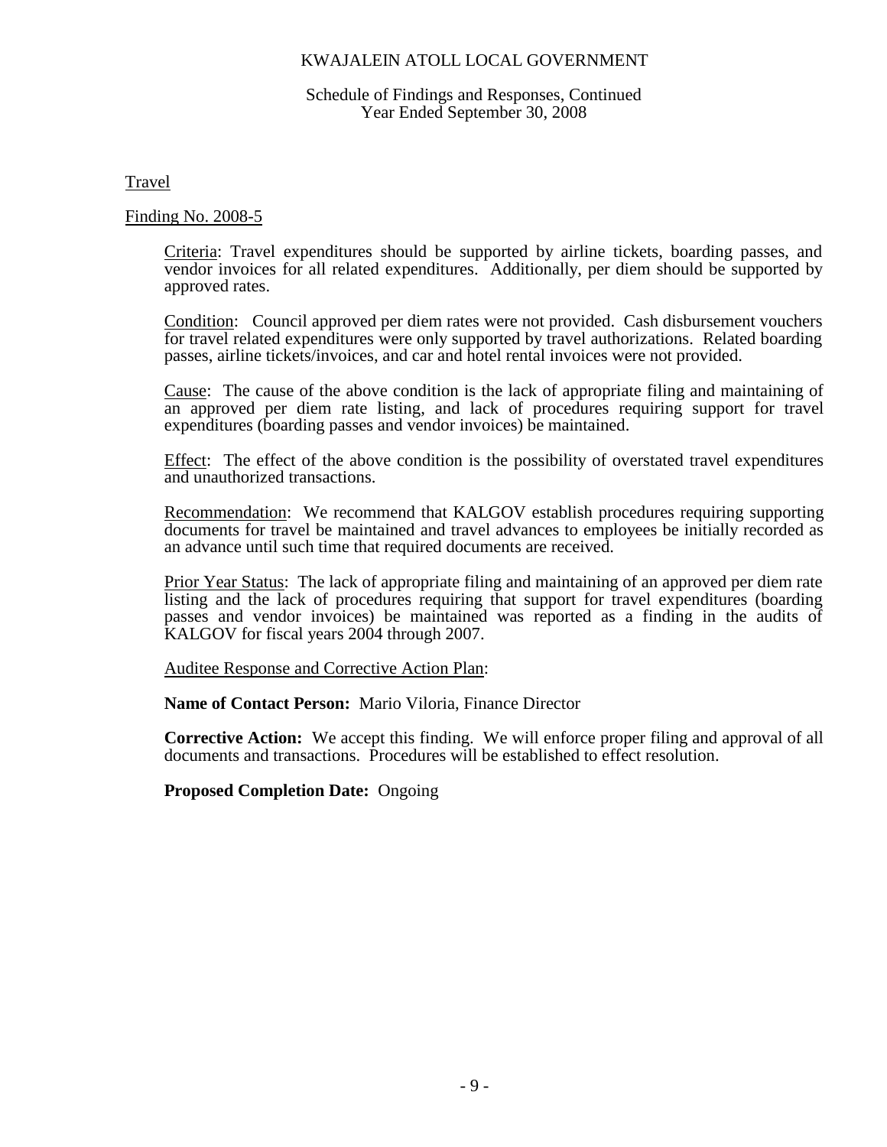#### Schedule of Findings and Responses, Continued Year Ended September 30, 2008

Travel

#### Finding No. 2008-5

Criteria: Travel expenditures should be supported by airline tickets, boarding passes, and vendor invoices for all related expenditures. Additionally, per diem should be supported by approved rates.

Condition: Council approved per diem rates were not provided. Cash disbursement vouchers for travel related expenditures were only supported by travel authorizations. Related boarding passes, airline tickets/invoices, and car and hotel rental invoices were not provided.

Cause: The cause of the above condition is the lack of appropriate filing and maintaining of an approved per diem rate listing, and lack of procedures requiring support for travel expenditures (boarding passes and vendor invoices) be maintained.

Effect: The effect of the above condition is the possibility of overstated travel expenditures and unauthorized transactions.

Recommendation: We recommend that KALGOV establish procedures requiring supporting documents for travel be maintained and travel advances to employees be initially recorded as an advance until such time that required documents are received.

Prior Year Status: The lack of appropriate filing and maintaining of an approved per diem rate listing and the lack of procedures requiring that support for travel expenditures (boarding passes and vendor invoices) be maintained was reported as a finding in the audits of KALGOV for fiscal years 2004 through 2007.

Auditee Response and Corrective Action Plan:

**Name of Contact Person:** Mario Viloria, Finance Director

**Corrective Action:** We accept this finding. We will enforce proper filing and approval of all documents and transactions. Procedures will be established to effect resolution.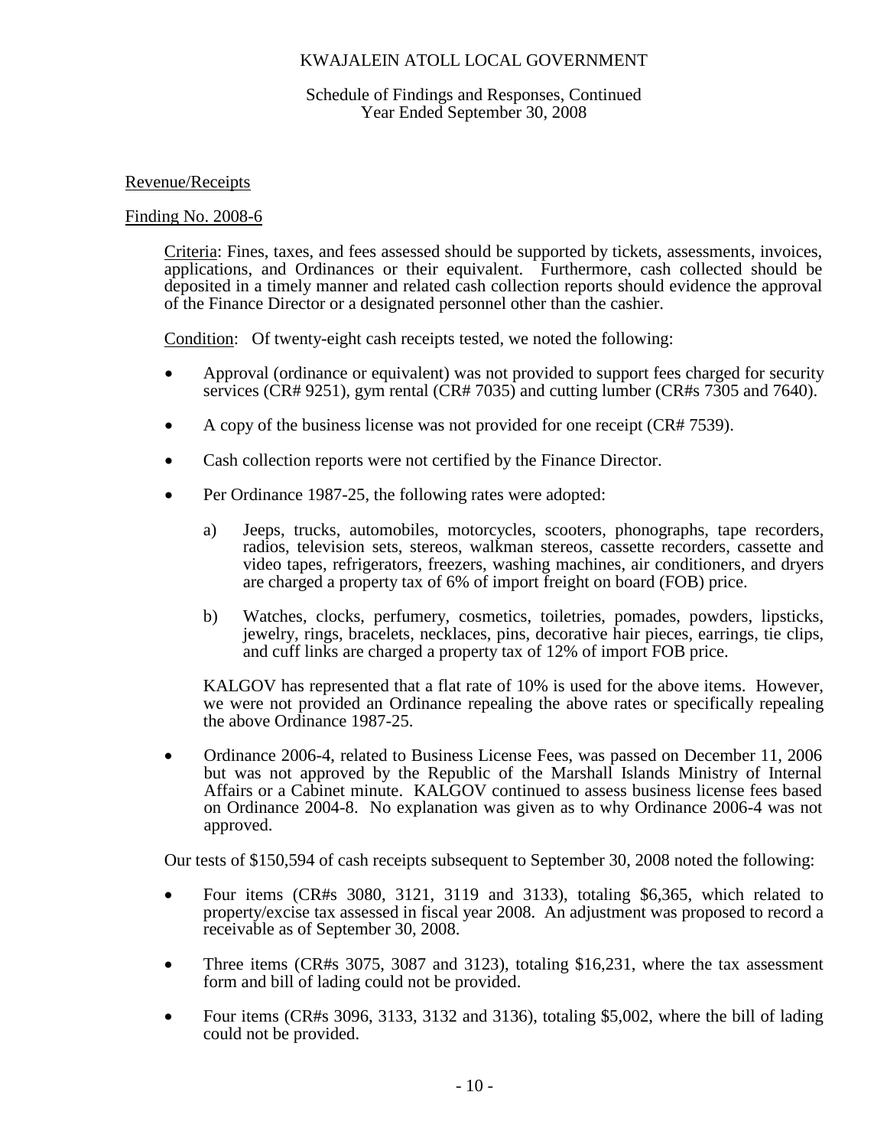### Schedule of Findings and Responses, Continued Year Ended September 30, 2008

## Revenue/Receipts

### Finding No. 2008-6

Criteria: Fines, taxes, and fees assessed should be supported by tickets, assessments, invoices, applications, and Ordinances or their equivalent. Furthermore, cash collected should be deposited in a timely manner and related cash collection reports should evidence the approval of the Finance Director or a designated personnel other than the cashier.

Condition: Of twenty-eight cash receipts tested, we noted the following:

- Approval (ordinance or equivalent) was not provided to support fees charged for security services (CR# 9251), gym rental (CR# 7035) and cutting lumber (CR#s 7305 and 7640).
- A copy of the business license was not provided for one receipt (CR# 7539).
- Cash collection reports were not certified by the Finance Director.
- Per Ordinance 1987-25, the following rates were adopted:
	- a) Jeeps, trucks, automobiles, motorcycles, scooters, phonographs, tape recorders, radios, television sets, stereos, walkman stereos, cassette recorders, cassette and video tapes, refrigerators, freezers, washing machines, air conditioners, and dryers are charged a property tax of 6% of import freight on board (FOB) price.
	- b) Watches, clocks, perfumery, cosmetics, toiletries, pomades, powders, lipsticks, jewelry, rings, bracelets, necklaces, pins, decorative hair pieces, earrings, tie clips, and cuff links are charged a property tax of 12% of import FOB price.

KALGOV has represented that a flat rate of 10% is used for the above items. However, we were not provided an Ordinance repealing the above rates or specifically repealing the above Ordinance 1987-25.

 Ordinance 2006-4, related to Business License Fees, was passed on December 11, 2006 but was not approved by the Republic of the Marshall Islands Ministry of Internal Affairs or a Cabinet minute. KALGOV continued to assess business license fees based on Ordinance 2004-8. No explanation was given as to why Ordinance 2006-4 was not approved.

Our tests of \$150,594 of cash receipts subsequent to September 30, 2008 noted the following:

- Four items (CR#s 3080, 3121, 3119 and 3133), totaling \$6,365, which related to property/excise tax assessed in fiscal year 2008. An adjustment was proposed to record a receivable as of September 30, 2008.
- Three items (CR#s 3075, 3087 and 3123), totaling \$16,231, where the tax assessment form and bill of lading could not be provided.
- Four items (CR#s 3096, 3133, 3132 and 3136), totaling \$5,002, where the bill of lading could not be provided.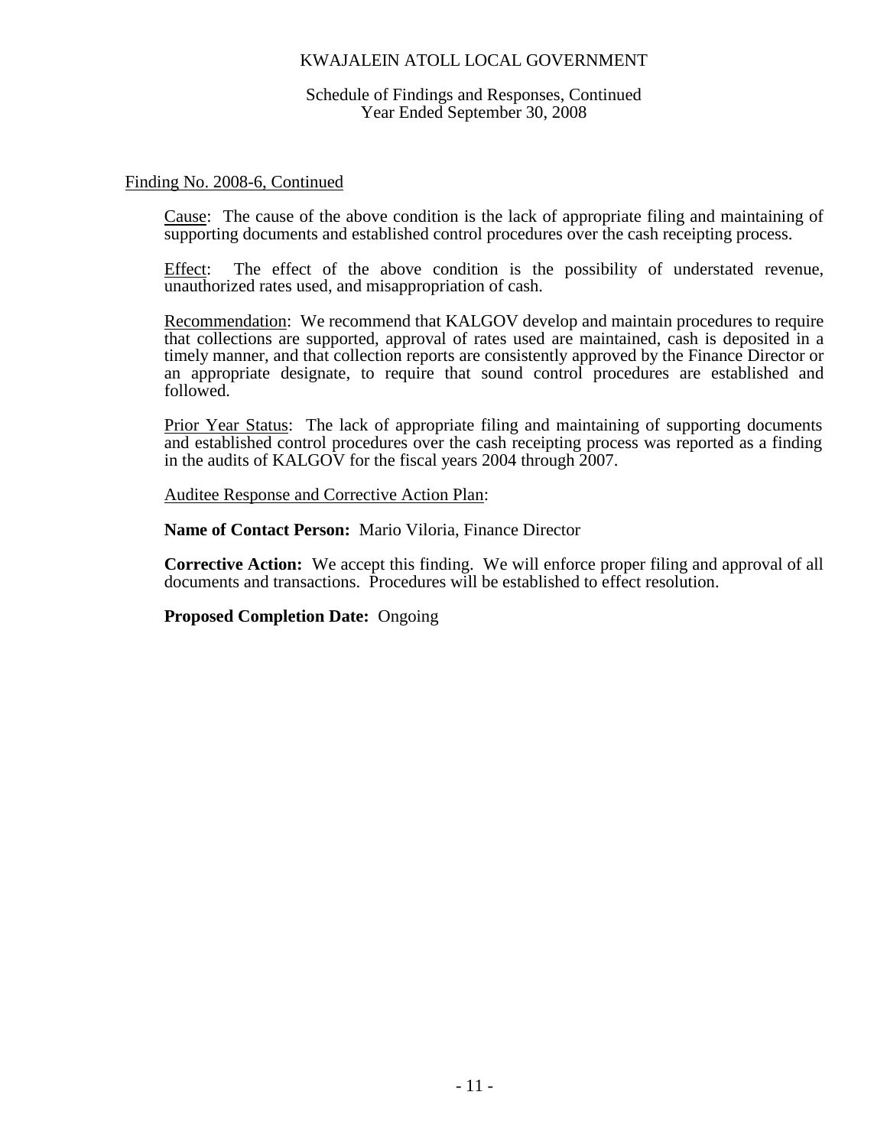Schedule of Findings and Responses, Continued Year Ended September 30, 2008

#### Finding No. 2008-6, Continued

Cause: The cause of the above condition is the lack of appropriate filing and maintaining of supporting documents and established control procedures over the cash receipting process.

Effect: The effect of the above condition is the possibility of understated revenue, unauthorized rates used, and misappropriation of cash.

Recommendation: We recommend that KALGOV develop and maintain procedures to require that collections are supported, approval of rates used are maintained, cash is deposited in a timely manner, and that collection reports are consistently approved by the Finance Director or an appropriate designate, to require that sound control procedures are established and followed.

Prior Year Status: The lack of appropriate filing and maintaining of supporting documents and established control procedures over the cash receipting process was reported as a finding in the audits of KALGOV for the fiscal years 2004 through 2007.

Auditee Response and Corrective Action Plan:

**Name of Contact Person:** Mario Viloria, Finance Director

**Corrective Action:** We accept this finding. We will enforce proper filing and approval of all documents and transactions. Procedures will be established to effect resolution.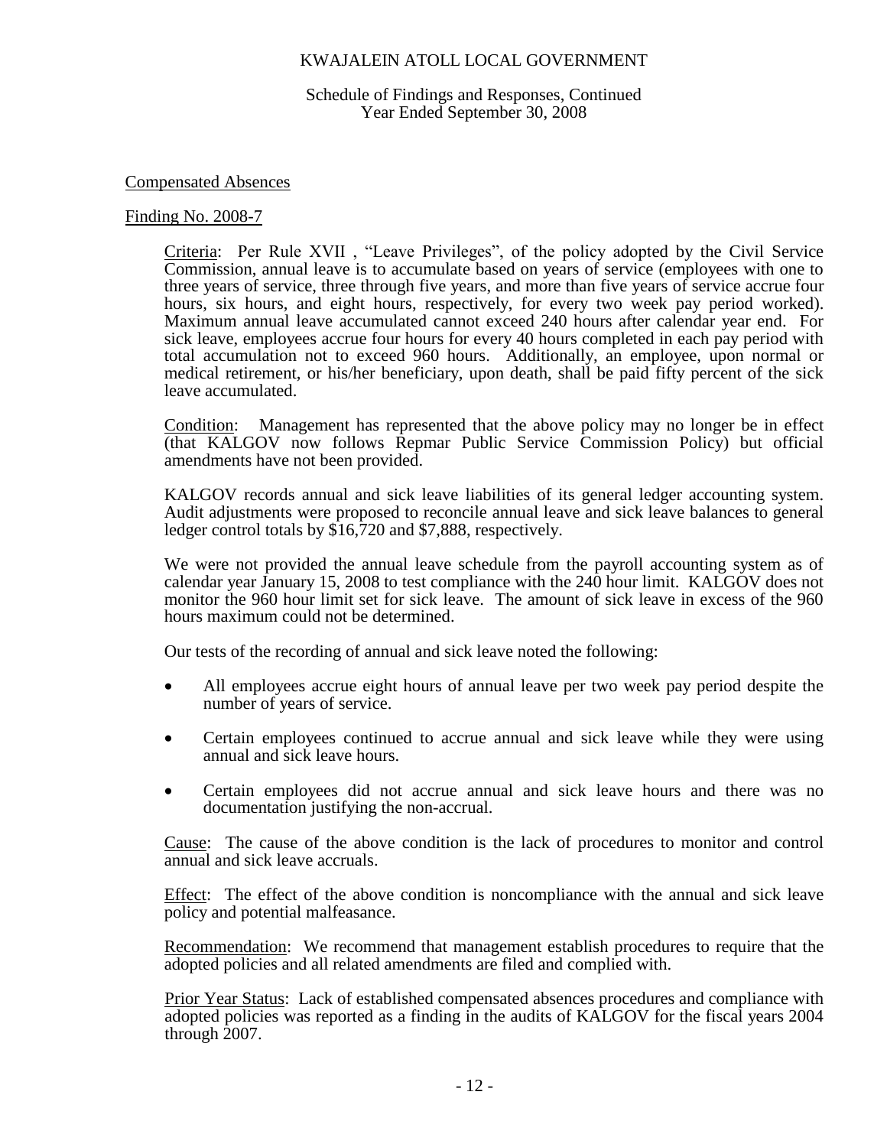Schedule of Findings and Responses, Continued Year Ended September 30, 2008

### Compensated Absences

#### Finding No. 2008-7

Criteria: Per Rule XVII , "Leave Privileges", of the policy adopted by the Civil Service Commission, annual leave is to accumulate based on years of service (employees with one to three years of service, three through five years, and more than five years of service accrue four hours, six hours, and eight hours, respectively, for every two week pay period worked). Maximum annual leave accumulated cannot exceed 240 hours after calendar year end. For sick leave, employees accrue four hours for every 40 hours completed in each pay period with total accumulation not to exceed 960 hours. Additionally, an employee, upon normal or medical retirement, or his/her beneficiary, upon death, shall be paid fifty percent of the sick leave accumulated.

Condition: Management has represented that the above policy may no longer be in effect (that KALGOV now follows Repmar Public Service Commission Policy) but official amendments have not been provided.

KALGOV records annual and sick leave liabilities of its general ledger accounting system. Audit adjustments were proposed to reconcile annual leave and sick leave balances to general ledger control totals by \$16,720 and \$7,888, respectively.

We were not provided the annual leave schedule from the payroll accounting system as of calendar year January 15, 2008 to test compliance with the 240 hour limit. KALGOV does not monitor the 960 hour limit set for sick leave. The amount of sick leave in excess of the 960 hours maximum could not be determined.

Our tests of the recording of annual and sick leave noted the following:

- All employees accrue eight hours of annual leave per two week pay period despite the number of years of service.
- Certain employees continued to accrue annual and sick leave while they were using annual and sick leave hours.
- Certain employees did not accrue annual and sick leave hours and there was no documentation justifying the non-accrual.

Cause: The cause of the above condition is the lack of procedures to monitor and control annual and sick leave accruals.

Effect: The effect of the above condition is noncompliance with the annual and sick leave policy and potential malfeasance.

Recommendation: We recommend that management establish procedures to require that the adopted policies and all related amendments are filed and complied with.

Prior Year Status: Lack of established compensated absences procedures and compliance with adopted policies was reported as a finding in the audits of KALGOV for the fiscal years 2004 through 2007.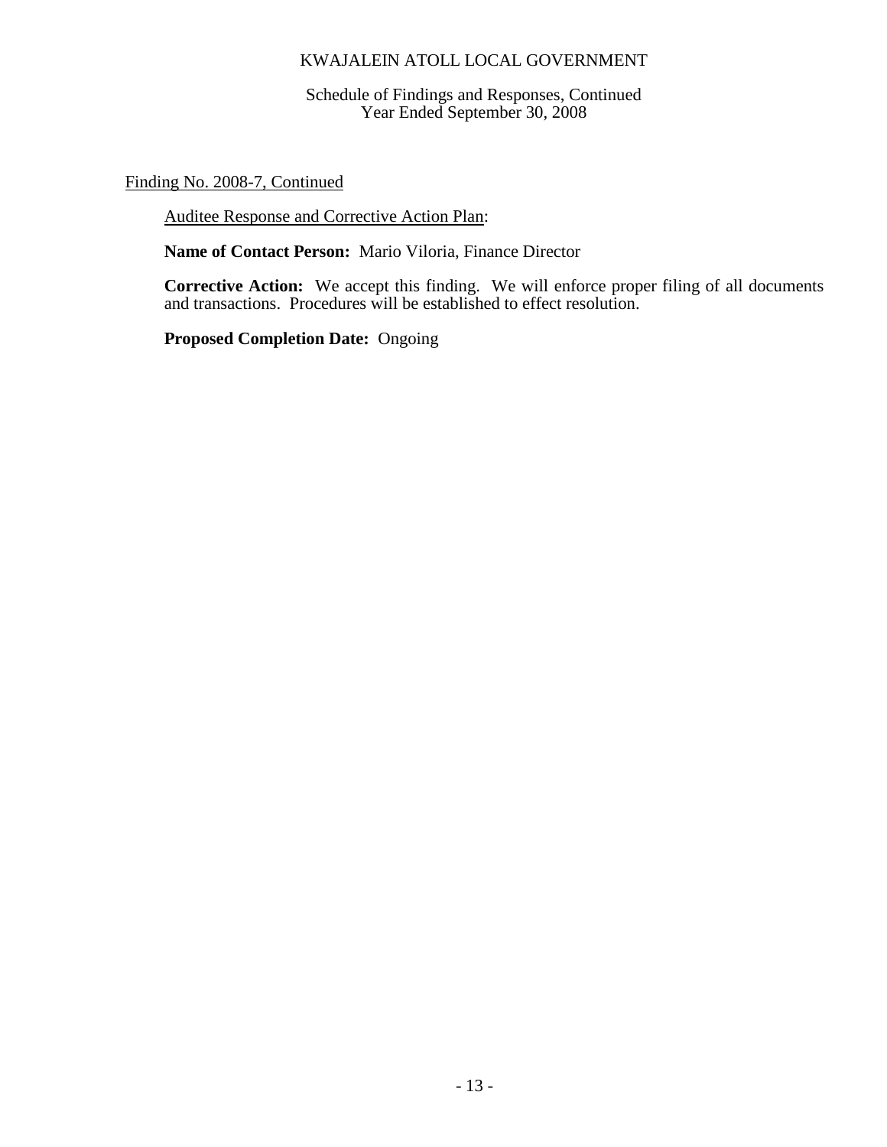Schedule of Findings and Responses, Continued Year Ended September 30, 2008

Finding No. 2008-7, Continued

Auditee Response and Corrective Action Plan:

**Name of Contact Person:** Mario Viloria, Finance Director

**Corrective Action:** We accept this finding. We will enforce proper filing of all documents and transactions. Procedures will be established to effect resolution.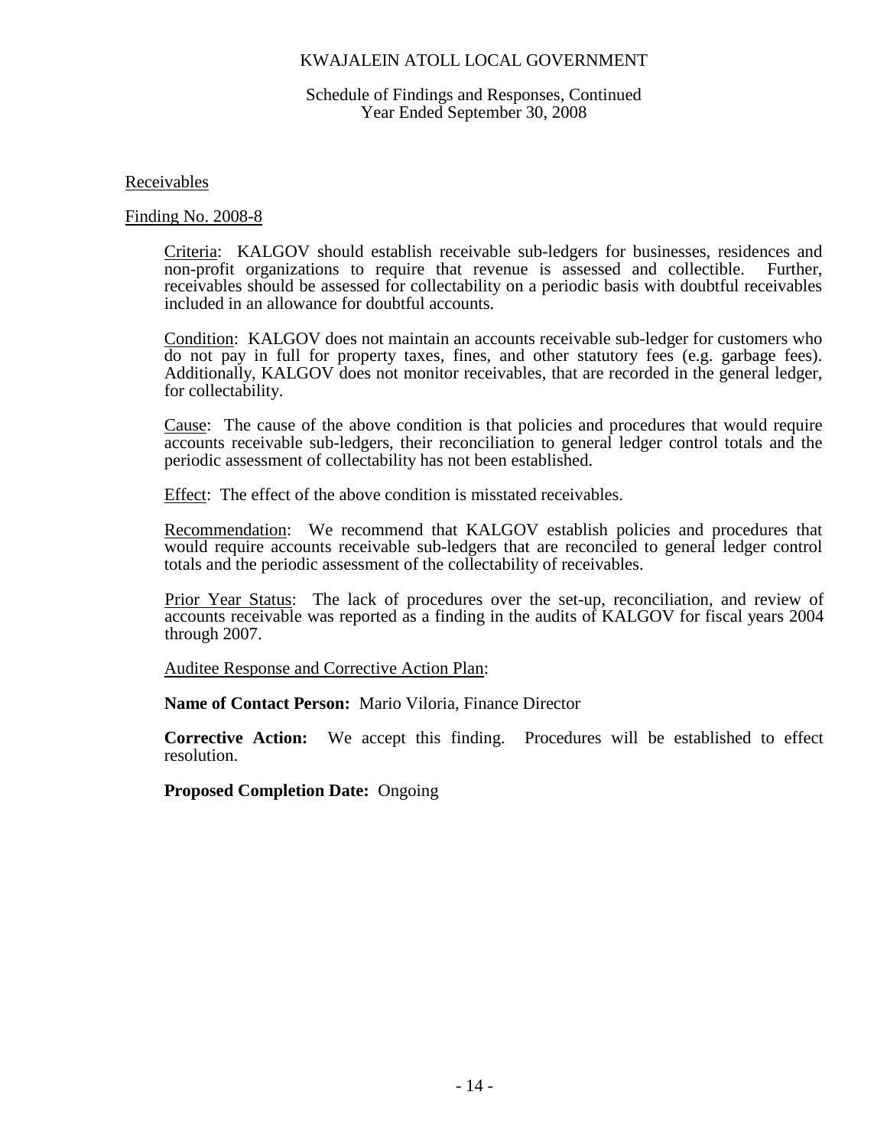### Schedule of Findings and Responses, Continued Year Ended September 30, 2008

Receivables

#### Finding No. 2008-8

Criteria: KALGOV should establish receivable sub-ledgers for businesses, residences and non-profit organizations to require that revenue is assessed and collectible. Further, receivables should be assessed for collectability on a periodic basis with doubtful receivables included in an allowance for doubtful accounts.

Condition: KALGOV does not maintain an accounts receivable sub-ledger for customers who do not pay in full for property taxes, fines, and other statutory fees (e.g. garbage fees). Additionally, KALGOV does not monitor receivables, that are recorded in the general ledger, for collectability.

Cause: The cause of the above condition is that policies and procedures that would require accounts receivable sub-ledgers, their reconciliation to general ledger control totals and the periodic assessment of collectability has not been established.

Effect: The effect of the above condition is misstated receivables.

Recommendation: We recommend that KALGOV establish policies and procedures that would require accounts receivable sub-ledgers that are reconciled to general ledger control totals and the periodic assessment of the collectability of receivables.

Prior Year Status: The lack of procedures over the set-up, reconciliation, and review of accounts receivable was reported as a finding in the audits of KALGOV for fiscal years 2004 through 2007.

Auditee Response and Corrective Action Plan:

**Name of Contact Person:** Mario Viloria, Finance Director

**Corrective Action:** We accept this finding. Procedures will be established to effect resolution.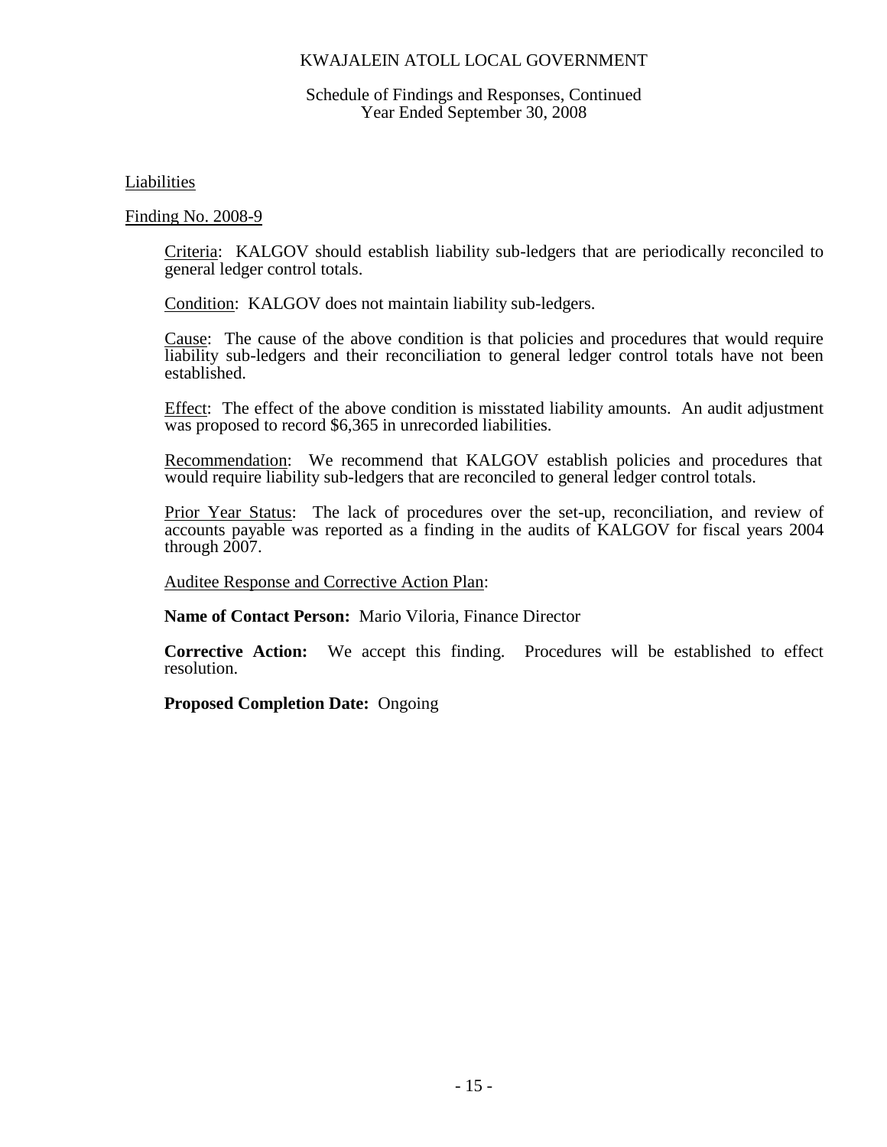### Schedule of Findings and Responses, Continued Year Ended September 30, 2008

Liabilities

Finding No. 2008-9

Criteria: KALGOV should establish liability sub-ledgers that are periodically reconciled to general ledger control totals.

Condition: KALGOV does not maintain liability sub-ledgers.

Cause: The cause of the above condition is that policies and procedures that would require liability sub-ledgers and their reconciliation to general ledger control totals have not been established.

Effect: The effect of the above condition is misstated liability amounts. An audit adjustment was proposed to record \$6,365 in unrecorded liabilities.

Recommendation: We recommend that KALGOV establish policies and procedures that would require liability sub-ledgers that are reconciled to general ledger control totals.

Prior Year Status: The lack of procedures over the set-up, reconciliation, and review of accounts payable was reported as a finding in the audits of KALGOV for fiscal years 2004 through 2007.

Auditee Response and Corrective Action Plan:

**Name of Contact Person:** Mario Viloria, Finance Director

**Corrective Action:** We accept this finding. Procedures will be established to effect resolution.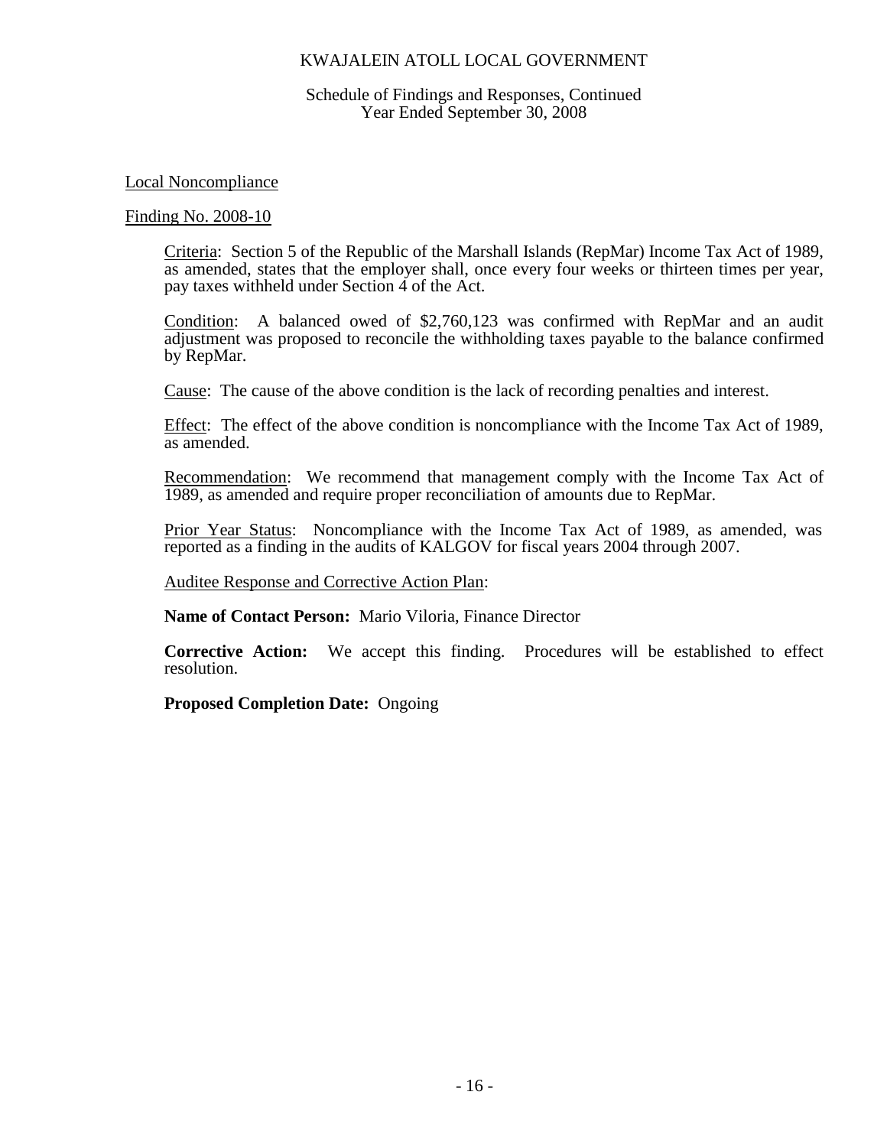### Schedule of Findings and Responses, Continued Year Ended September 30, 2008

### Local Noncompliance

## Finding No. 2008-10

Criteria: Section 5 of the Republic of the Marshall Islands (RepMar) Income Tax Act of 1989, as amended, states that the employer shall, once every four weeks or thirteen times per year, pay taxes withheld under Section 4 of the Act.

Condition: A balanced owed of \$2,760,123 was confirmed with RepMar and an audit adjustment was proposed to reconcile the withholding taxes payable to the balance confirmed by RepMar.

Cause: The cause of the above condition is the lack of recording penalties and interest.

Effect: The effect of the above condition is noncompliance with the Income Tax Act of 1989, as amended.

Recommendation: We recommend that management comply with the Income Tax Act of 1989, as amended and require proper reconciliation of amounts due to RepMar.

Prior Year Status: Noncompliance with the Income Tax Act of 1989, as amended, was reported as a finding in the audits of KALGOV for fiscal years 2004 through 2007.

Auditee Response and Corrective Action Plan:

**Name of Contact Person:** Mario Viloria, Finance Director

**Corrective Action:** We accept this finding. Procedures will be established to effect resolution.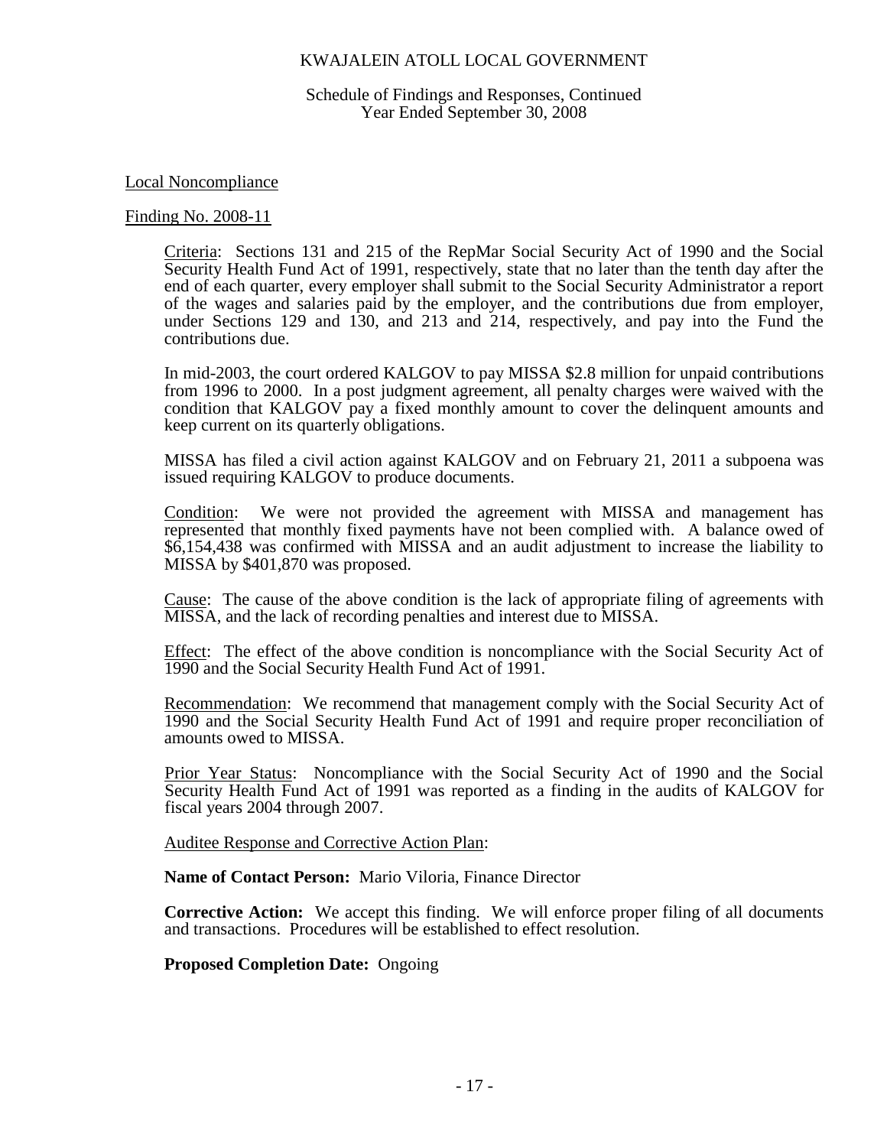Schedule of Findings and Responses, Continued Year Ended September 30, 2008

Local Noncompliance

#### Finding No. 2008-11

Criteria: Sections 131 and 215 of the RepMar Social Security Act of 1990 and the Social Security Health Fund Act of 1991, respectively, state that no later than the tenth day after the end of each quarter, every employer shall submit to the Social Security Administrator a report of the wages and salaries paid by the employer, and the contributions due from employer, under Sections 129 and 130, and 213 and 214, respectively, and pay into the Fund the contributions due.

In mid-2003, the court ordered KALGOV to pay MISSA \$2.8 million for unpaid contributions from 1996 to 2000. In a post judgment agreement, all penalty charges were waived with the condition that KALGOV pay a fixed monthly amount to cover the delinquent amounts and keep current on its quarterly obligations.

MISSA has filed a civil action against KALGOV and on February 21, 2011 a subpoena was issued requiring KALGOV to produce documents.

Condition: We were not provided the agreement with MISSA and management has represented that monthly fixed payments have not been complied with. A balance owed of \$6,154,438 was confirmed with MISSA and an audit adjustment to increase the liability to MISSA by \$401,870 was proposed.

Cause: The cause of the above condition is the lack of appropriate filing of agreements with MISSA, and the lack of recording penalties and interest due to MISSA.

Effect: The effect of the above condition is noncompliance with the Social Security Act of 1990 and the Social Security Health Fund Act of 1991.

Recommendation: We recommend that management comply with the Social Security Act of 1990 and the Social Security Health Fund Act of 1991 and require proper reconciliation of amounts owed to MISSA.

Prior Year Status: Noncompliance with the Social Security Act of 1990 and the Social Security Health Fund Act of 1991 was reported as a finding in the audits of KALGOV for fiscal years 2004 through 2007.

Auditee Response and Corrective Action Plan:

**Name of Contact Person:** Mario Viloria, Finance Director

**Corrective Action:** We accept this finding. We will enforce proper filing of all documents and transactions. Procedures will be established to effect resolution.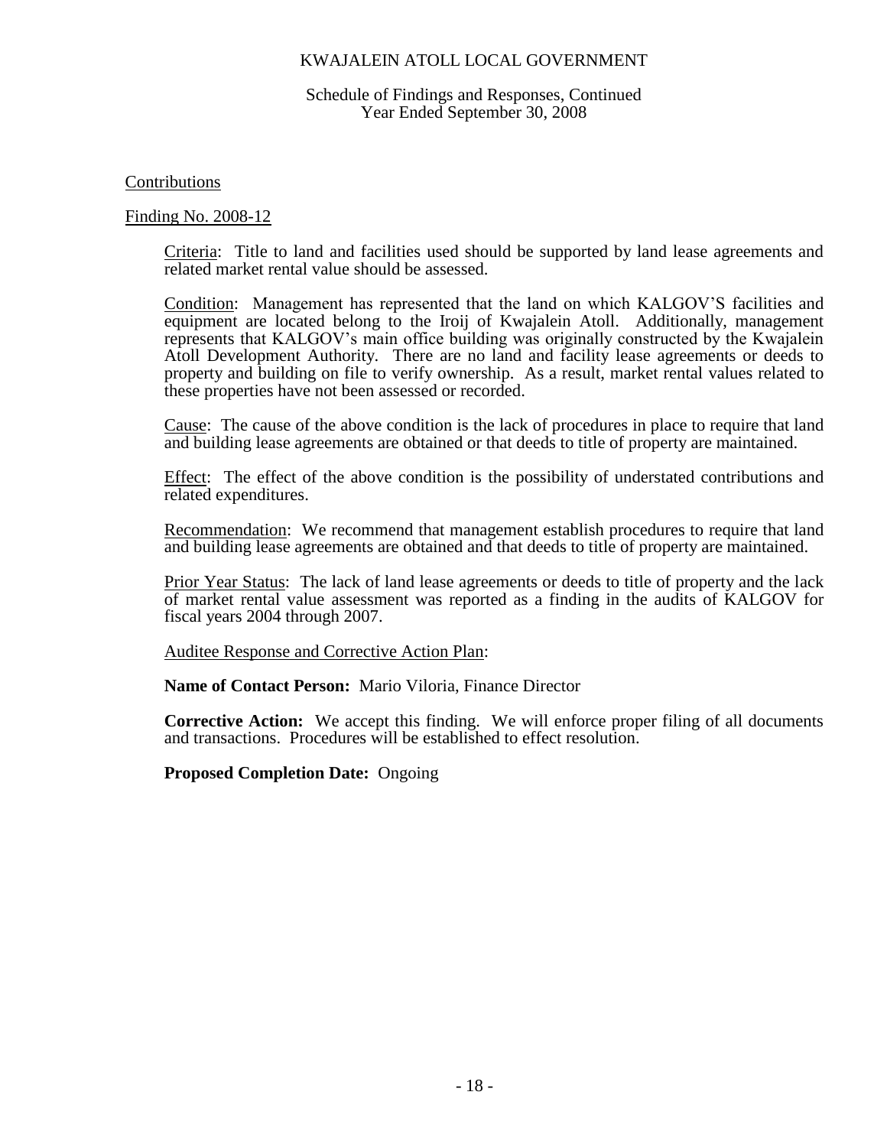### Schedule of Findings and Responses, Continued Year Ended September 30, 2008

### Contributions

## Finding No. 2008-12

Criteria: Title to land and facilities used should be supported by land lease agreements and related market rental value should be assessed.

Condition: Management has represented that the land on which KALGOV'S facilities and equipment are located belong to the Iroij of Kwajalein Atoll. Additionally, management represents that KALGOV's main office building was originally constructed by the Kwajalein Atoll Development Authority. There are no land and facility lease agreements or deeds to property and building on file to verify ownership. As a result, market rental values related to these properties have not been assessed or recorded.

Cause: The cause of the above condition is the lack of procedures in place to require that land and building lease agreements are obtained or that deeds to title of property are maintained.

Effect: The effect of the above condition is the possibility of understated contributions and related expenditures.

Recommendation: We recommend that management establish procedures to require that land and building lease agreements are obtained and that deeds to title of property are maintained.

Prior Year Status: The lack of land lease agreements or deeds to title of property and the lack of market rental value assessment was reported as a finding in the audits of KALGOV for fiscal years 2004 through 2007.

Auditee Response and Corrective Action Plan:

**Name of Contact Person:** Mario Viloria, Finance Director

**Corrective Action:** We accept this finding. We will enforce proper filing of all documents and transactions. Procedures will be established to effect resolution.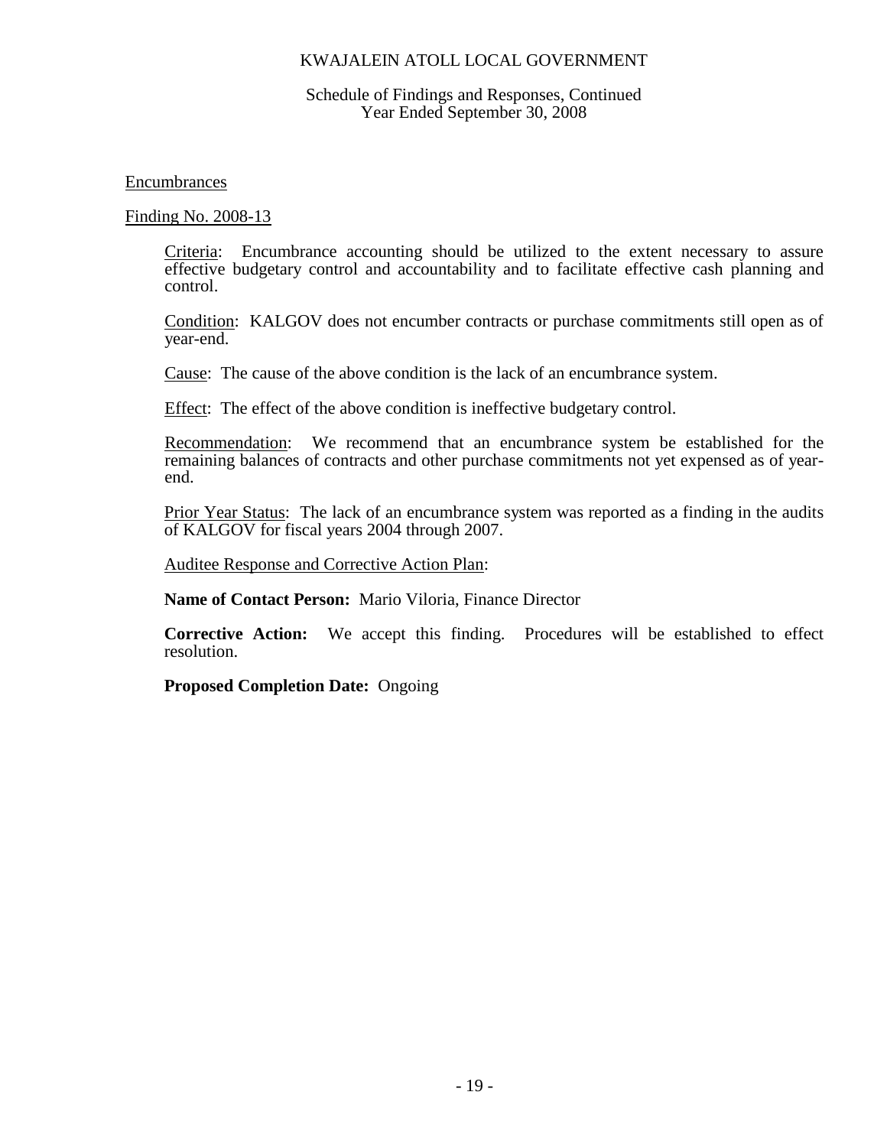### Schedule of Findings and Responses, Continued Year Ended September 30, 2008

Encumbrances

Finding No. 2008-13

Criteria: Encumbrance accounting should be utilized to the extent necessary to assure effective budgetary control and accountability and to facilitate effective cash planning and control.

Condition: KALGOV does not encumber contracts or purchase commitments still open as of year-end.

Cause: The cause of the above condition is the lack of an encumbrance system.

Effect: The effect of the above condition is ineffective budgetary control.

Recommendation: We recommend that an encumbrance system be established for the remaining balances of contracts and other purchase commitments not yet expensed as of yearend.

Prior Year Status: The lack of an encumbrance system was reported as a finding in the audits of KALGOV for fiscal years 2004 through 2007.

Auditee Response and Corrective Action Plan:

**Name of Contact Person:** Mario Viloria, Finance Director

**Corrective Action:** We accept this finding. Procedures will be established to effect resolution.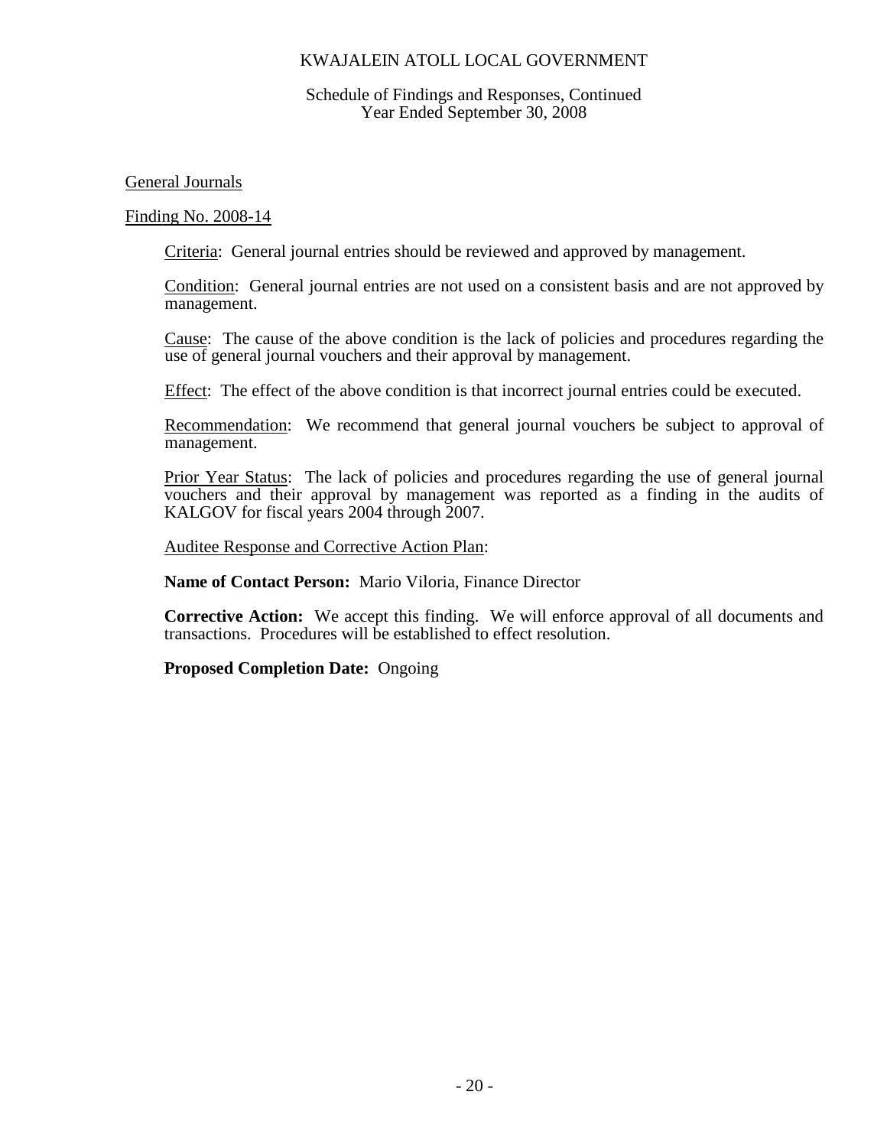### Schedule of Findings and Responses, Continued Year Ended September 30, 2008

General Journals

Finding No. 2008-14

Criteria: General journal entries should be reviewed and approved by management.

Condition: General journal entries are not used on a consistent basis and are not approved by management.

Cause: The cause of the above condition is the lack of policies and procedures regarding the use of general journal vouchers and their approval by management.

Effect: The effect of the above condition is that incorrect journal entries could be executed.

Recommendation: We recommend that general journal vouchers be subject to approval of management.

Prior Year Status: The lack of policies and procedures regarding the use of general journal vouchers and their approval by management was reported as a finding in the audits of KALGOV for fiscal years 2004 through 2007.

Auditee Response and Corrective Action Plan:

**Name of Contact Person:** Mario Viloria, Finance Director

**Corrective Action:** We accept this finding. We will enforce approval of all documents and transactions. Procedures will be established to effect resolution.